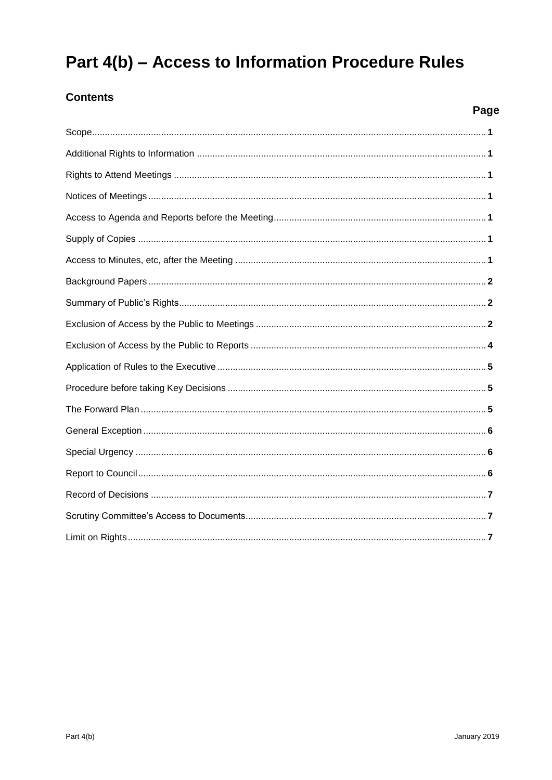# Part 4(b) - Access to Information Procedure Rules

# **Contents**

# Page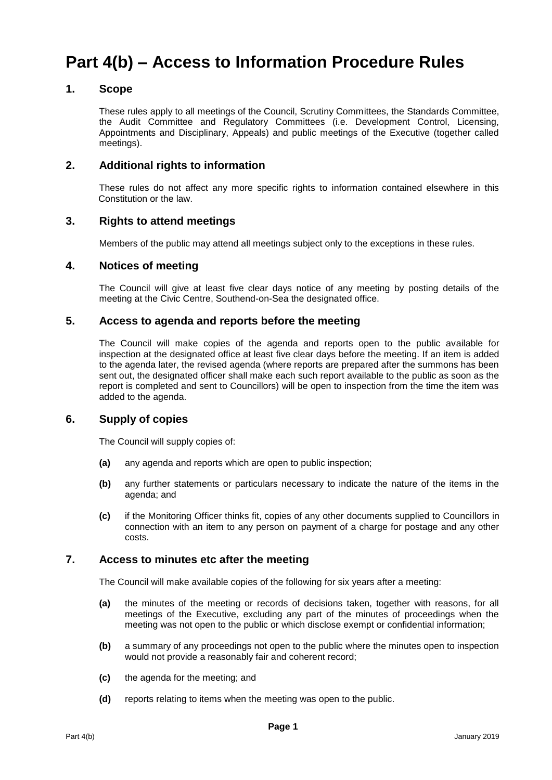# **Part 4(b) – Access to Information Procedure Rules**

## **1. Scope**

These rules apply to all meetings of the Council, Scrutiny Committees, the Standards Committee, the Audit Committee and Regulatory Committees (i.e. Development Control, Licensing, Appointments and Disciplinary, Appeals) and public meetings of the Executive (together called meetings).

## **2. Additional rights to information**

These rules do not affect any more specific rights to information contained elsewhere in this Constitution or the law.

## **3. Rights to attend meetings**

Members of the public may attend all meetings subject only to the exceptions in these rules.

## **4. Notices of meeting**

The Council will give at least five clear days notice of any meeting by posting details of the meeting at the Civic Centre, Southend-on-Sea the designated office.

## **5. Access to agenda and reports before the meeting**

The Council will make copies of the agenda and reports open to the public available for inspection at the designated office at least five clear days before the meeting. If an item is added to the agenda later, the revised agenda (where reports are prepared after the summons has been sent out, the designated officer shall make each such report available to the public as soon as the report is completed and sent to Councillors) will be open to inspection from the time the item was added to the agenda.

## **6. Supply of copies**

The Council will supply copies of:

- **(a)** any agenda and reports which are open to public inspection;
- **(b)** any further statements or particulars necessary to indicate the nature of the items in the agenda; and
- **(c)** if the Monitoring Officer thinks fit, copies of any other documents supplied to Councillors in connection with an item to any person on payment of a charge for postage and any other costs.

## **7. Access to minutes etc after the meeting**

The Council will make available copies of the following for six years after a meeting:

- **(a)** the minutes of the meeting or records of decisions taken, together with reasons, for all meetings of the Executive, excluding any part of the minutes of proceedings when the meeting was not open to the public or which disclose exempt or confidential information;
- **(b)** a summary of any proceedings not open to the public where the minutes open to inspection would not provide a reasonably fair and coherent record;
- **(c)** the agenda for the meeting; and
- **(d)** reports relating to items when the meeting was open to the public.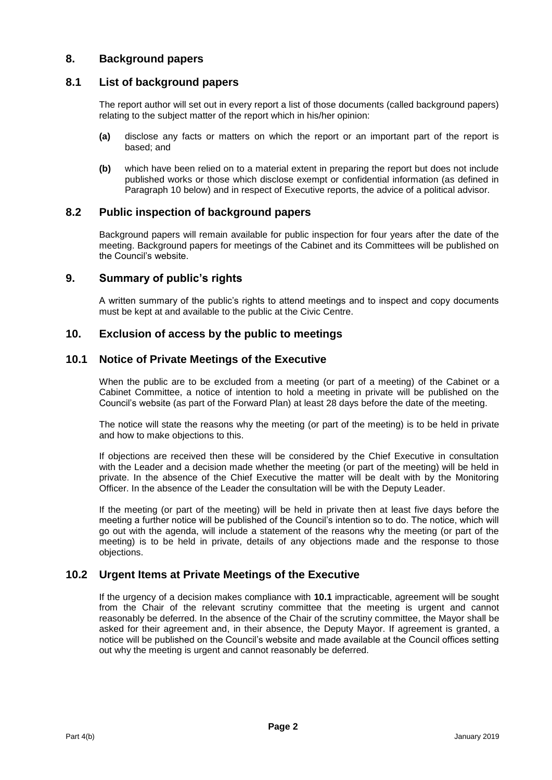## **8. Background papers**

## **8.1 List of background papers**

The report author will set out in every report a list of those documents (called background papers) relating to the subject matter of the report which in his/her opinion:

- **(a)** disclose any facts or matters on which the report or an important part of the report is based; and
- **(b)** which have been relied on to a material extent in preparing the report but does not include published works or those which disclose exempt or confidential information (as defined in Paragraph 10 below) and in respect of Executive reports, the advice of a political advisor.

## **8.2 Public inspection of background papers**

Background papers will remain available for public inspection for four years after the date of the meeting. Background papers for meetings of the Cabinet and its Committees will be published on the Council's website.

#### **9. Summary of public's rights**

A written summary of the public's rights to attend meetings and to inspect and copy documents must be kept at and available to the public at the Civic Centre.

#### **10. Exclusion of access by the public to meetings**

#### **10.1 Notice of Private Meetings of the Executive**

When the public are to be excluded from a meeting (or part of a meeting) of the Cabinet or a Cabinet Committee, a notice of intention to hold a meeting in private will be published on the Council's website (as part of the Forward Plan) at least 28 days before the date of the meeting.

The notice will state the reasons why the meeting (or part of the meeting) is to be held in private and how to make objections to this.

If objections are received then these will be considered by the Chief Executive in consultation with the Leader and a decision made whether the meeting (or part of the meeting) will be held in private. In the absence of the Chief Executive the matter will be dealt with by the Monitoring Officer. In the absence of the Leader the consultation will be with the Deputy Leader.

If the meeting (or part of the meeting) will be held in private then at least five days before the meeting a further notice will be published of the Council's intention so to do. The notice, which will go out with the agenda, will include a statement of the reasons why the meeting (or part of the meeting) is to be held in private, details of any objections made and the response to those objections.

## **10.2 Urgent Items at Private Meetings of the Executive**

If the urgency of a decision makes compliance with **10.1** impracticable, agreement will be sought from the Chair of the relevant scrutiny committee that the meeting is urgent and cannot reasonably be deferred. In the absence of the Chair of the scrutiny committee, the Mayor shall be asked for their agreement and, in their absence, the Deputy Mayor. If agreement is granted, a notice will be published on the Council's website and made available at the Council offices setting out why the meeting is urgent and cannot reasonably be deferred.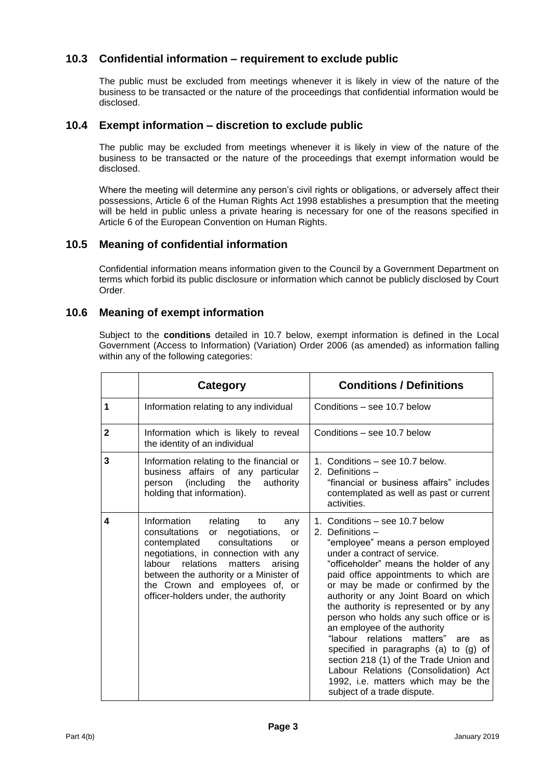# **10.3 Confidential information – requirement to exclude public**

The public must be excluded from meetings whenever it is likely in view of the nature of the business to be transacted or the nature of the proceedings that confidential information would be disclosed.

## **10.4 Exempt information – discretion to exclude public**

The public may be excluded from meetings whenever it is likely in view of the nature of the business to be transacted or the nature of the proceedings that exempt information would be disclosed.

Where the meeting will determine any person's civil rights or obligations, or adversely affect their possessions, Article 6 of the Human Rights Act 1998 establishes a presumption that the meeting will be held in public unless a private hearing is necessary for one of the reasons specified in Article 6 of the European Convention on Human Rights.

## **10.5 Meaning of confidential information**

Confidential information means information given to the Council by a Government Department on terms which forbid its public disclosure or information which cannot be publicly disclosed by Court Order.

## **10.6 Meaning of exempt information**

Subject to the **conditions** detailed in 10.7 below, exempt information is defined in the Local Government (Access to Information) (Variation) Order 2006 (as amended) as information falling within any of the following categories:

|              | Category                                                                                                                                                                                                                                                                                                                                  | <b>Conditions / Definitions</b>                                                                                                                                                                                                                                                                                                                                                                                                                                                                                                                                                                                                                               |
|--------------|-------------------------------------------------------------------------------------------------------------------------------------------------------------------------------------------------------------------------------------------------------------------------------------------------------------------------------------------|---------------------------------------------------------------------------------------------------------------------------------------------------------------------------------------------------------------------------------------------------------------------------------------------------------------------------------------------------------------------------------------------------------------------------------------------------------------------------------------------------------------------------------------------------------------------------------------------------------------------------------------------------------------|
| 1            | Information relating to any individual                                                                                                                                                                                                                                                                                                    | Conditions – see 10.7 below                                                                                                                                                                                                                                                                                                                                                                                                                                                                                                                                                                                                                                   |
| $\mathbf{2}$ | Information which is likely to reveal<br>the identity of an individual                                                                                                                                                                                                                                                                    | Conditions - see 10.7 below                                                                                                                                                                                                                                                                                                                                                                                                                                                                                                                                                                                                                                   |
| 3            | Information relating to the financial or<br>business affairs of any particular<br>the<br>(including<br>authority<br>person<br>holding that information).                                                                                                                                                                                  | 1. Conditions – see 10.7 below.<br>2. Definitions -<br>"financial or business affairs" includes<br>contemplated as well as past or current<br>activities.                                                                                                                                                                                                                                                                                                                                                                                                                                                                                                     |
| 4            | Information<br>relating<br>to<br>any<br>consultations<br>negotiations,<br>or<br><b>or</b><br>consultations<br>contemplated<br>or<br>negotiations, in connection with any<br>relations<br>labour<br>matters<br>arising<br>between the authority or a Minister of<br>the Crown and employees of, or<br>officer-holders under, the authority | 1. Conditions – see 10.7 below<br>2. Definitions -<br>"employee" means a person employed<br>under a contract of service.<br>"officeholder" means the holder of any<br>paid office appointments to which are<br>or may be made or confirmed by the<br>authority or any Joint Board on which<br>the authority is represented or by any<br>person who holds any such office or is<br>an employee of the authority<br>"labour relations<br>matters"<br>are<br>as<br>specified in paragraphs (a) to (g) of<br>section 218 (1) of the Trade Union and<br>Labour Relations (Consolidation) Act<br>1992, i.e. matters which may be the<br>subject of a trade dispute. |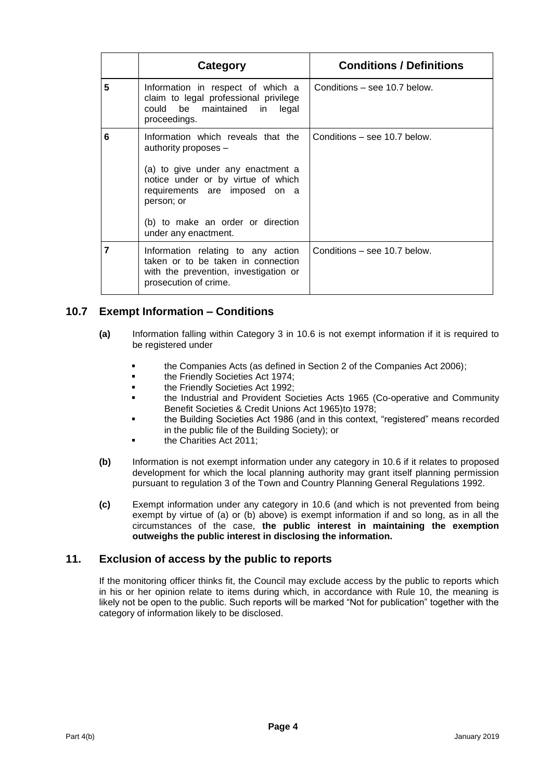|   | Category                                                                                                                                                                                                                                            | <b>Conditions / Definitions</b> |
|---|-----------------------------------------------------------------------------------------------------------------------------------------------------------------------------------------------------------------------------------------------------|---------------------------------|
| 5 | Information in respect of which a<br>claim to legal professional privilege<br>could be maintained in<br>legal<br>proceedings.                                                                                                                       | Conditions – see 10.7 below.    |
| 6 | Information which reveals that the<br>authority proposes $-$<br>(a) to give under any enactment a<br>notice under or by virtue of which<br>requirements are imposed on a<br>person; or<br>(b) to make an order or direction<br>under any enactment. | Conditions - see 10.7 below.    |
| 7 | Information relating to any action<br>taken or to be taken in connection<br>with the prevention, investigation or<br>prosecution of crime.                                                                                                          | Conditions – see 10.7 below.    |

# **10.7 Exempt Information – Conditions**

- **(a)** Information falling within Category 3 in 10.6 is not exempt information if it is required to be registered under
	- the Companies Acts (as defined in Section 2 of the Companies Act 2006);
	- **the Friendly Societies Act 1974;**
	- **the Friendly Societies Act 1992;**
	- the Industrial and Provident Societies Acts 1965 (Co-operative and Community Benefit Societies & Credit Unions Act 1965)to 1978;
	- the Building Societies Act 1986 (and in this context, "registered" means recorded in the public file of the Building Society); or
	- the Charities Act 2011;
- **(b)** Information is not exempt information under any category in 10.6 if it relates to proposed development for which the local planning authority may grant itself planning permission pursuant to regulation 3 of the Town and Country Planning General Regulations 1992.
- **(c)** Exempt information under any category in 10.6 (and which is not prevented from being exempt by virtue of (a) or (b) above) is exempt information if and so long, as in all the circumstances of the case, **the public interest in maintaining the exemption outweighs the public interest in disclosing the information.**

## **11. Exclusion of access by the public to reports**

If the monitoring officer thinks fit, the Council may exclude access by the public to reports which in his or her opinion relate to items during which, in accordance with Rule 10, the meaning is likely not be open to the public. Such reports will be marked "Not for publication" together with the category of information likely to be disclosed.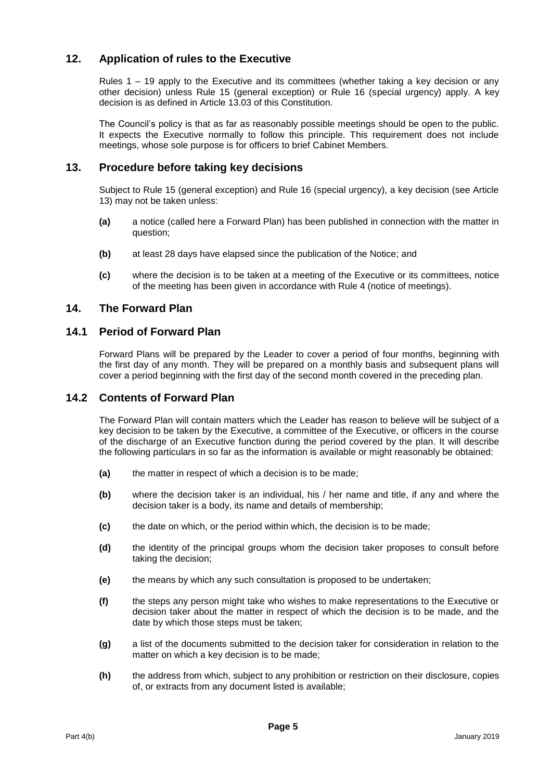# **12. Application of rules to the Executive**

Rules 1 – 19 apply to the Executive and its committees (whether taking a key decision or any other decision) unless Rule 15 (general exception) or Rule 16 (special urgency) apply. A key decision is as defined in Article 13.03 of this Constitution.

The Council's policy is that as far as reasonably possible meetings should be open to the public. It expects the Executive normally to follow this principle. This requirement does not include meetings, whose sole purpose is for officers to brief Cabinet Members.

## **13. Procedure before taking key decisions**

Subject to Rule 15 (general exception) and Rule 16 (special urgency), a key decision (see Article 13) may not be taken unless:

- **(a)** a notice (called here a Forward Plan) has been published in connection with the matter in question;
- **(b)** at least 28 days have elapsed since the publication of the Notice; and
- **(c)** where the decision is to be taken at a meeting of the Executive or its committees, notice of the meeting has been given in accordance with Rule 4 (notice of meetings).

## **14. The Forward Plan**

## **14.1 Period of Forward Plan**

Forward Plans will be prepared by the Leader to cover a period of four months, beginning with the first day of any month. They will be prepared on a monthly basis and subsequent plans will cover a period beginning with the first day of the second month covered in the preceding plan.

## **14.2 Contents of Forward Plan**

The Forward Plan will contain matters which the Leader has reason to believe will be subject of a key decision to be taken by the Executive, a committee of the Executive, or officers in the course of the discharge of an Executive function during the period covered by the plan. It will describe the following particulars in so far as the information is available or might reasonably be obtained:

- **(a)** the matter in respect of which a decision is to be made;
- **(b)** where the decision taker is an individual, his / her name and title, if any and where the decision taker is a body, its name and details of membership;
- **(c)** the date on which, or the period within which, the decision is to be made;
- **(d)** the identity of the principal groups whom the decision taker proposes to consult before taking the decision;
- **(e)** the means by which any such consultation is proposed to be undertaken;
- **(f)** the steps any person might take who wishes to make representations to the Executive or decision taker about the matter in respect of which the decision is to be made, and the date by which those steps must be taken;
- **(g)** a list of the documents submitted to the decision taker for consideration in relation to the matter on which a key decision is to be made;
- **(h)** the address from which, subject to any prohibition or restriction on their disclosure, copies of, or extracts from any document listed is available;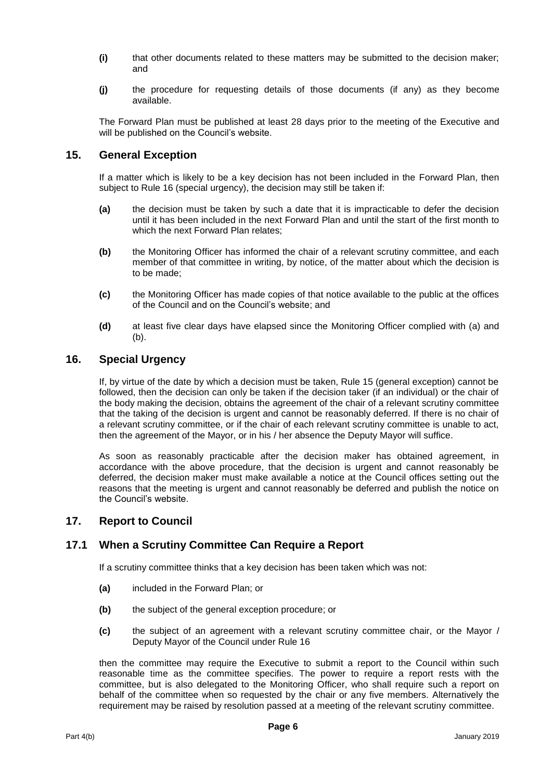- **(i)** that other documents related to these matters may be submitted to the decision maker; and
- **(j)** the procedure for requesting details of those documents (if any) as they become available.

The Forward Plan must be published at least 28 days prior to the meeting of the Executive and will be published on the Council's website.

## **15. General Exception**

If a matter which is likely to be a key decision has not been included in the Forward Plan, then subject to Rule 16 (special urgency), the decision may still be taken if:

- **(a)** the decision must be taken by such a date that it is impracticable to defer the decision until it has been included in the next Forward Plan and until the start of the first month to which the next Forward Plan relates;
- **(b)** the Monitoring Officer has informed the chair of a relevant scrutiny committee, and each member of that committee in writing, by notice, of the matter about which the decision is to be made;
- **(c)** the Monitoring Officer has made copies of that notice available to the public at the offices of the Council and on the Council's website; and
- **(d)** at least five clear days have elapsed since the Monitoring Officer complied with (a) and (b).

## **16. Special Urgency**

If, by virtue of the date by which a decision must be taken, Rule 15 (general exception) cannot be followed, then the decision can only be taken if the decision taker (if an individual) or the chair of the body making the decision, obtains the agreement of the chair of a relevant scrutiny committee that the taking of the decision is urgent and cannot be reasonably deferred. If there is no chair of a relevant scrutiny committee, or if the chair of each relevant scrutiny committee is unable to act, then the agreement of the Mayor, or in his / her absence the Deputy Mayor will suffice.

As soon as reasonably practicable after the decision maker has obtained agreement, in accordance with the above procedure, that the decision is urgent and cannot reasonably be deferred, the decision maker must make available a notice at the Council offices setting out the reasons that the meeting is urgent and cannot reasonably be deferred and publish the notice on the Council's website.

## **17. Report to Council**

## **17.1 When a Scrutiny Committee Can Require a Report**

If a scrutiny committee thinks that a key decision has been taken which was not:

- **(a)** included in the Forward Plan; or
- **(b)** the subject of the general exception procedure; or
- **(c)** the subject of an agreement with a relevant scrutiny committee chair, or the Mayor / Deputy Mayor of the Council under Rule 16

then the committee may require the Executive to submit a report to the Council within such reasonable time as the committee specifies. The power to require a report rests with the committee, but is also delegated to the Monitoring Officer, who shall require such a report on behalf of the committee when so requested by the chair or any five members. Alternatively the requirement may be raised by resolution passed at a meeting of the relevant scrutiny committee.